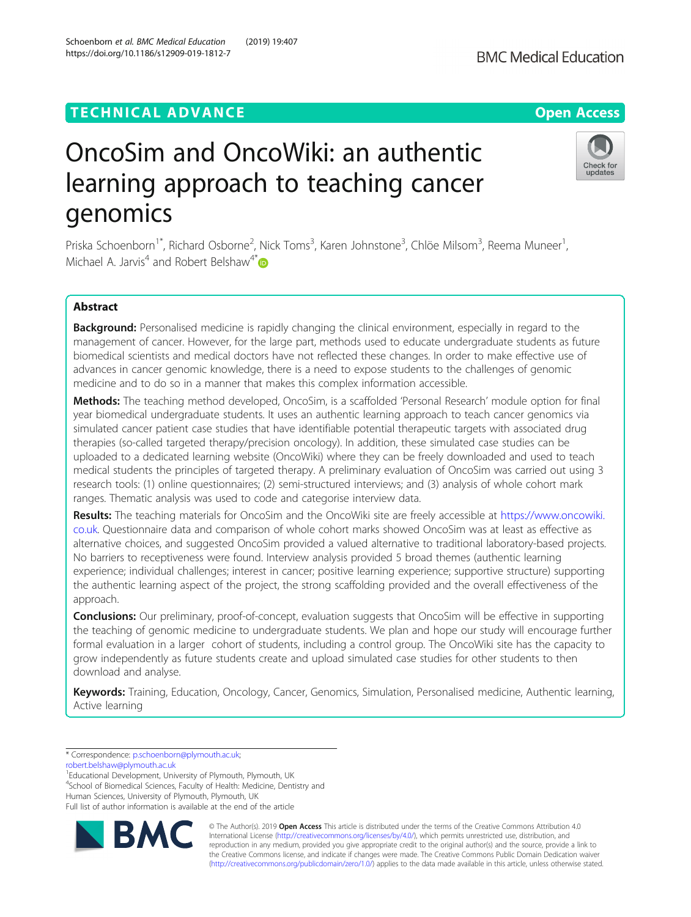## **TECHNICAL ADVANCE CONSUMING A LIGAN CONSUMING A LIGAN CONSUMING A LIGAN CONSUMING A LIGAN CONSUMING A LIGAN CONSUMING A LIGAN CONSUMING A LIGAN CONSUMING A LIGAN CONSUMING A LIGAN CONSUMING A LIGAN CONSUMING A LIGAN CON**

# OncoSim and OncoWiki: an authentic learning approach to teaching cancer genomics

Priska Schoenborn<sup>1\*</sup>, Richard Osborne<sup>2</sup>, Nick Toms<sup>3</sup>, Karen Johnstone<sup>3</sup>, Chlöe Milsom<sup>3</sup>, Reema Muneer<sup>1</sup> , Michael A. Jarvis<sup>4</sup> and Robert Belshaw<sup>4[\\*](http://orcid.org/0000-0001-6234-3947)</sup>

## Abstract

Background: Personalised medicine is rapidly changing the clinical environment, especially in regard to the management of cancer. However, for the large part, methods used to educate undergraduate students as future biomedical scientists and medical doctors have not reflected these changes. In order to make effective use of advances in cancer genomic knowledge, there is a need to expose students to the challenges of genomic medicine and to do so in a manner that makes this complex information accessible.

Methods: The teaching method developed, OncoSim, is a scaffolded 'Personal Research' module option for final year biomedical undergraduate students. It uses an authentic learning approach to teach cancer genomics via simulated cancer patient case studies that have identifiable potential therapeutic targets with associated drug therapies (so-called targeted therapy/precision oncology). In addition, these simulated case studies can be uploaded to a dedicated learning website (OncoWiki) where they can be freely downloaded and used to teach medical students the principles of targeted therapy. A preliminary evaluation of OncoSim was carried out using 3 research tools: (1) online questionnaires; (2) semi-structured interviews; and (3) analysis of whole cohort mark ranges. Thematic analysis was used to code and categorise interview data.

Results: The teaching materials for OncoSim and the OncoWiki site are freely accessible at [https://www.oncowiki.](https://www.oncowiki.co.uk) [co.uk.](https://www.oncowiki.co.uk) Questionnaire data and comparison of whole cohort marks showed OncoSim was at least as effective as alternative choices, and suggested OncoSim provided a valued alternative to traditional laboratory-based projects. No barriers to receptiveness were found. Interview analysis provided 5 broad themes (authentic learning experience; individual challenges; interest in cancer; positive learning experience; supportive structure) supporting the authentic learning aspect of the project, the strong scaffolding provided and the overall effectiveness of the approach.

**Conclusions:** Our preliminary, proof-of-concept, evaluation suggests that OncoSim will be effective in supporting the teaching of genomic medicine to undergraduate students. We plan and hope our study will encourage further formal evaluation in a larger cohort of students, including a control group. The OncoWiki site has the capacity to grow independently as future students create and upload simulated case studies for other students to then download and analyse.

Keywords: Training, Education, Oncology, Cancer, Genomics, Simulation, Personalised medicine, Authentic learning, Active learning

<sup>1</sup> Educational Development, University of Plymouth, Plymouth, UK 4 School of Biomedical Sciences, Faculty of Health: Medicine, Dentistry and Human Sciences, University of Plymouth, Plymouth, UK

© The Author(s). 2019 **Open Access** This article is distributed under the terms of the Creative Commons Attribution 4.0 International License [\(http://creativecommons.org/licenses/by/4.0/](http://creativecommons.org/licenses/by/4.0/)), which permits unrestricted use, distribution, and reproduction in any medium, provided you give appropriate credit to the original author(s) and the source, provide a link to the Creative Commons license, and indicate if changes were made. The Creative Commons Public Domain Dedication waiver [\(http://creativecommons.org/publicdomain/zero/1.0/](http://creativecommons.org/publicdomain/zero/1.0/)) applies to the data made available in this article, unless otherwise stated.





<sup>\*</sup> Correspondence: [p.schoenborn@plymouth.ac.uk](mailto:p.schoenborn@plymouth.ac.uk);

[robert.belshaw@plymouth.ac.uk](mailto:robert.belshaw@plymouth.ac.uk)

Full list of author information is available at the end of the article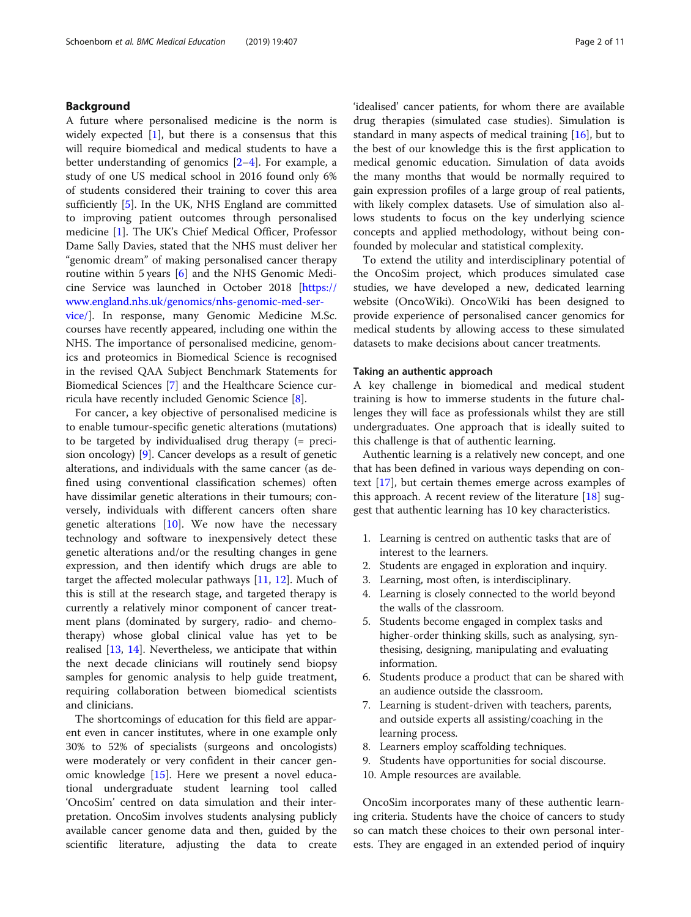## Background

A future where personalised medicine is the norm is widely expected [[1\]](#page-10-0), but there is a consensus that this will require biomedical and medical students to have a better understanding of genomics [[2](#page-10-0)–[4\]](#page-10-0). For example, a study of one US medical school in 2016 found only 6% of students considered their training to cover this area sufficiently [[5\]](#page-10-0). In the UK, NHS England are committed to improving patient outcomes through personalised medicine [[1](#page-10-0)]. The UK's Chief Medical Officer, Professor Dame Sally Davies, stated that the NHS must deliver her "genomic dream" of making personalised cancer therapy routine within 5 years [[6\]](#page-10-0) and the NHS Genomic Medicine Service was launched in October 2018 [[https://](https://www.england.nhs.uk/genomics/nhs-genomic-med-service/) [www.england.nhs.uk/genomics/nhs-genomic-med-ser](https://www.england.nhs.uk/genomics/nhs-genomic-med-service/)[vice/](https://www.england.nhs.uk/genomics/nhs-genomic-med-service/)]. In response, many Genomic Medicine M.Sc. courses have recently appeared, including one within the NHS. The importance of personalised medicine, genomics and proteomics in Biomedical Science is recognised in the revised QAA Subject Benchmark Statements for Biomedical Sciences [\[7\]](#page-10-0) and the Healthcare Science curricula have recently included Genomic Science [\[8](#page-10-0)].

For cancer, a key objective of personalised medicine is to enable tumour-specific genetic alterations (mutations) to be targeted by individualised drug therapy (= precision oncology) [[9\]](#page-10-0). Cancer develops as a result of genetic alterations, and individuals with the same cancer (as defined using conventional classification schemes) often have dissimilar genetic alterations in their tumours; conversely, individuals with different cancers often share genetic alterations [[10](#page-10-0)]. We now have the necessary technology and software to inexpensively detect these genetic alterations and/or the resulting changes in gene expression, and then identify which drugs are able to target the affected molecular pathways [[11,](#page-10-0) [12\]](#page-10-0). Much of this is still at the research stage, and targeted therapy is currently a relatively minor component of cancer treatment plans (dominated by surgery, radio- and chemotherapy) whose global clinical value has yet to be realised [[13](#page-10-0), [14\]](#page-10-0). Nevertheless, we anticipate that within the next decade clinicians will routinely send biopsy samples for genomic analysis to help guide treatment, requiring collaboration between biomedical scientists and clinicians.

The shortcomings of education for this field are apparent even in cancer institutes, where in one example only 30% to 52% of specialists (surgeons and oncologists) were moderately or very confident in their cancer genomic knowledge [[15\]](#page-10-0). Here we present a novel educational undergraduate student learning tool called 'OncoSim' centred on data simulation and their interpretation. OncoSim involves students analysing publicly available cancer genome data and then, guided by the scientific literature, adjusting the data to create

'idealised' cancer patients, for whom there are available drug therapies (simulated case studies). Simulation is standard in many aspects of medical training [\[16](#page-10-0)], but to the best of our knowledge this is the first application to medical genomic education. Simulation of data avoids the many months that would be normally required to gain expression profiles of a large group of real patients, with likely complex datasets. Use of simulation also allows students to focus on the key underlying science concepts and applied methodology, without being confounded by molecular and statistical complexity.

To extend the utility and interdisciplinary potential of the OncoSim project, which produces simulated case studies, we have developed a new, dedicated learning website (OncoWiki). OncoWiki has been designed to provide experience of personalised cancer genomics for medical students by allowing access to these simulated datasets to make decisions about cancer treatments.

#### Taking an authentic approach

A key challenge in biomedical and medical student training is how to immerse students in the future challenges they will face as professionals whilst they are still undergraduates. One approach that is ideally suited to this challenge is that of authentic learning.

Authentic learning is a relatively new concept, and one that has been defined in various ways depending on context [[17\]](#page-10-0), but certain themes emerge across examples of this approach. A recent review of the literature  $[18]$  suggest that authentic learning has 10 key characteristics.

- 1. Learning is centred on authentic tasks that are of interest to the learners.
- 2. Students are engaged in exploration and inquiry.
- 3. Learning, most often, is interdisciplinary.
- 4. Learning is closely connected to the world beyond the walls of the classroom.
- 5. Students become engaged in complex tasks and higher-order thinking skills, such as analysing, synthesising, designing, manipulating and evaluating information.
- 6. Students produce a product that can be shared with an audience outside the classroom.
- 7. Learning is student-driven with teachers, parents, and outside experts all assisting/coaching in the learning process.
- 8. Learners employ scaffolding techniques.
- 9. Students have opportunities for social discourse.
- 10. Ample resources are available.

OncoSim incorporates many of these authentic learning criteria. Students have the choice of cancers to study so can match these choices to their own personal interests. They are engaged in an extended period of inquiry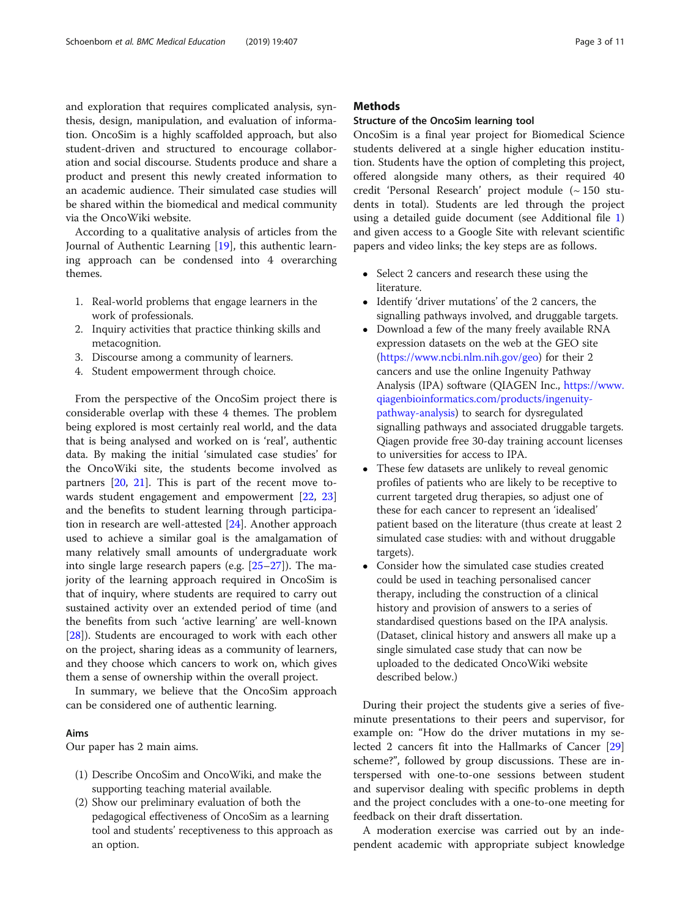<span id="page-2-0"></span>and exploration that requires complicated analysis, synthesis, design, manipulation, and evaluation of information. OncoSim is a highly scaffolded approach, but also student-driven and structured to encourage collaboration and social discourse. Students produce and share a product and present this newly created information to an academic audience. Their simulated case studies will be shared within the biomedical and medical community via the OncoWiki website.

According to a qualitative analysis of articles from the Journal of Authentic Learning [\[19\]](#page-10-0), this authentic learning approach can be condensed into 4 overarching themes.

- 1. Real-world problems that engage learners in the work of professionals.
- 2. Inquiry activities that practice thinking skills and metacognition.
- 3. Discourse among a community of learners.
- 4. Student empowerment through choice.

From the perspective of the OncoSim project there is considerable overlap with these 4 themes. The problem being explored is most certainly real world, and the data that is being analysed and worked on is 'real', authentic data. By making the initial 'simulated case studies' for the OncoWiki site, the students become involved as partners [\[20](#page-10-0), [21](#page-10-0)]. This is part of the recent move towards student engagement and empowerment [[22,](#page-10-0) [23](#page-10-0)] and the benefits to student learning through participation in research are well-attested [[24](#page-10-0)]. Another approach used to achieve a similar goal is the amalgamation of many relatively small amounts of undergraduate work into single large research papers (e.g. [\[25](#page-10-0)–[27\]](#page-10-0)). The majority of the learning approach required in OncoSim is that of inquiry, where students are required to carry out sustained activity over an extended period of time (and the benefits from such 'active learning' are well-known [[28\]](#page-10-0)). Students are encouraged to work with each other on the project, sharing ideas as a community of learners, and they choose which cancers to work on, which gives them a sense of ownership within the overall project.

In summary, we believe that the OncoSim approach can be considered one of authentic learning.

#### Aims

Our paper has 2 main aims.

- (1) Describe OncoSim and OncoWiki, and make the supporting teaching material available.
- (2) Show our preliminary evaluation of both the pedagogical effectiveness of OncoSim as a learning tool and students' receptiveness to this approach as an option.

## **Methods**

## Structure of the OncoSim learning tool

OncoSim is a final year project for Biomedical Science students delivered at a single higher education institution. Students have the option of completing this project, offered alongside many others, as their required 40 credit 'Personal Research' project module (~ 150 students in total). Students are led through the project using a detailed guide document (see Additional file [1](#page-9-0)) and given access to a Google Site with relevant scientific papers and video links; the key steps are as follows.

- Select 2 cancers and research these using the literature.
- Identify 'driver mutations' of the 2 cancers, the signalling pathways involved, and druggable targets.
- Download a few of the many freely available RNA expression datasets on the web at the GEO site (<https://www.ncbi.nlm.nih.gov/geo>) for their 2 cancers and use the online Ingenuity Pathway Analysis (IPA) software (QIAGEN Inc., [https://www.](https://www.qiagenbioinformatics.com/products/ingenuity-pathway-analysis) [qiagenbioinformatics.com/products/ingenuity](https://www.qiagenbioinformatics.com/products/ingenuity-pathway-analysis)[pathway-analysis](https://www.qiagenbioinformatics.com/products/ingenuity-pathway-analysis)) to search for dysregulated signalling pathways and associated druggable targets. Qiagen provide free 30-day training account licenses to universities for access to IPA.
- These few datasets are unlikely to reveal genomic profiles of patients who are likely to be receptive to current targeted drug therapies, so adjust one of these for each cancer to represent an 'idealised' patient based on the literature (thus create at least 2 simulated case studies: with and without druggable targets).
- Consider how the simulated case studies created could be used in teaching personalised cancer therapy, including the construction of a clinical history and provision of answers to a series of standardised questions based on the IPA analysis. (Dataset, clinical history and answers all make up a single simulated case study that can now be uploaded to the dedicated OncoWiki website described below.)

During their project the students give a series of fiveminute presentations to their peers and supervisor, for example on: "How do the driver mutations in my selected 2 cancers fit into the Hallmarks of Cancer [[29](#page-10-0)] scheme?", followed by group discussions. These are interspersed with one-to-one sessions between student and supervisor dealing with specific problems in depth and the project concludes with a one-to-one meeting for feedback on their draft dissertation.

A moderation exercise was carried out by an independent academic with appropriate subject knowledge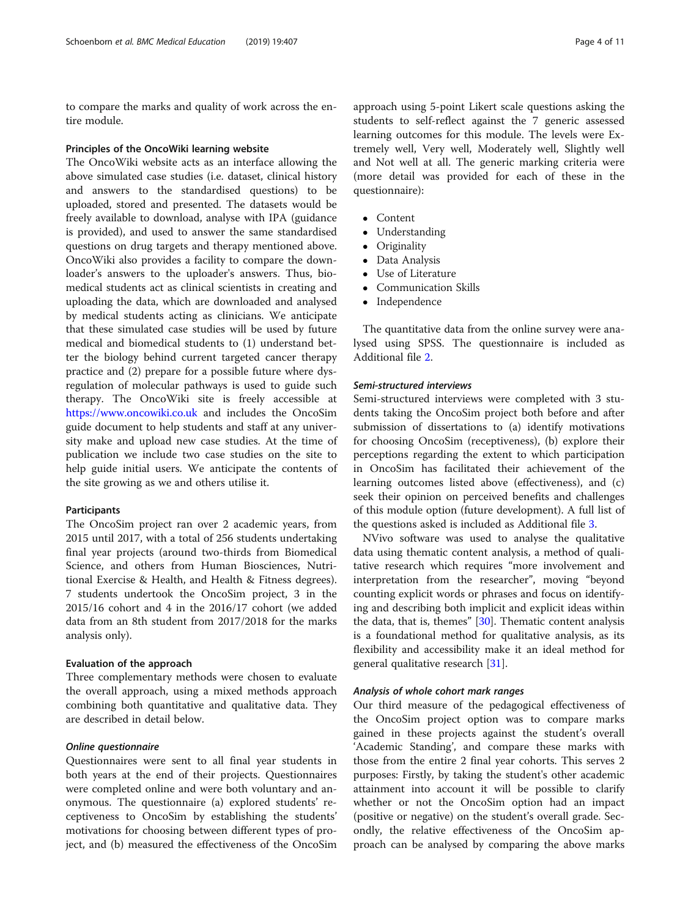to compare the marks and quality of work across the entire module.

#### Principles of the OncoWiki learning website

The OncoWiki website acts as an interface allowing the above simulated case studies (i.e. dataset, clinical history and answers to the standardised questions) to be uploaded, stored and presented. The datasets would be freely available to download, analyse with IPA (guidance is provided), and used to answer the same standardised questions on drug targets and therapy mentioned above. OncoWiki also provides a facility to compare the downloader's answers to the uploader's answers. Thus, biomedical students act as clinical scientists in creating and uploading the data, which are downloaded and analysed by medical students acting as clinicians. We anticipate that these simulated case studies will be used by future medical and biomedical students to (1) understand better the biology behind current targeted cancer therapy practice and (2) prepare for a possible future where dysregulation of molecular pathways is used to guide such therapy. The OncoWiki site is freely accessible at <https://www.oncowiki.co.uk> and includes the OncoSim guide document to help students and staff at any university make and upload new case studies. At the time of publication we include two case studies on the site to help guide initial users. We anticipate the contents of the site growing as we and others utilise it.

#### Participants

The OncoSim project ran over 2 academic years, from 2015 until 2017, with a total of 256 students undertaking final year projects (around two-thirds from Biomedical Science, and others from Human Biosciences, Nutritional Exercise & Health, and Health & Fitness degrees). 7 students undertook the OncoSim project, 3 in the 2015/16 cohort and 4 in the 2016/17 cohort (we added data from an 8th student from 2017/2018 for the marks analysis only).

## Evaluation of the approach

Three complementary methods were chosen to evaluate the overall approach, using a mixed methods approach combining both quantitative and qualitative data. They are described in detail below.

## Online questionnaire

Questionnaires were sent to all final year students in both years at the end of their projects. Questionnaires were completed online and were both voluntary and anonymous. The questionnaire (a) explored students' receptiveness to OncoSim by establishing the students' motivations for choosing between different types of project, and (b) measured the effectiveness of the OncoSim

approach using 5-point Likert scale questions asking the students to self-reflect against the 7 generic assessed learning outcomes for this module. The levels were Extremely well, Very well, Moderately well, Slightly well and Not well at all. The generic marking criteria were (more detail was provided for each of these in the

Content

questionnaire):

- Understanding<br>• Originality
- Originality<br>• Data Analy
- Data Analysis
- Use of Literature<br>• Communication
- Communication Skills
- Independence

The quantitative data from the online survey were analysed using SPSS. The questionnaire is included as Additional file [2](#page-9-0).

## Semi-structured interviews

Semi-structured interviews were completed with 3 students taking the OncoSim project both before and after submission of dissertations to (a) identify motivations for choosing OncoSim (receptiveness), (b) explore their perceptions regarding the extent to which participation in OncoSim has facilitated their achievement of the learning outcomes listed above (effectiveness), and (c) seek their opinion on perceived benefits and challenges of this module option (future development). A full list of the questions asked is included as Additional file [3.](#page-9-0)

NVivo software was used to analyse the qualitative data using thematic content analysis, a method of qualitative research which requires "more involvement and interpretation from the researcher", moving "beyond counting explicit words or phrases and focus on identifying and describing both implicit and explicit ideas within the data, that is, themes" [[30\]](#page-10-0). Thematic content analysis is a foundational method for qualitative analysis, as its flexibility and accessibility make it an ideal method for general qualitative research [[31](#page-10-0)].

#### Analysis of whole cohort mark ranges

Our third measure of the pedagogical effectiveness of the OncoSim project option was to compare marks gained in these projects against the student's overall 'Academic Standing', and compare these marks with those from the entire 2 final year cohorts. This serves 2 purposes: Firstly, by taking the student's other academic attainment into account it will be possible to clarify whether or not the OncoSim option had an impact (positive or negative) on the student's overall grade. Secondly, the relative effectiveness of the OncoSim approach can be analysed by comparing the above marks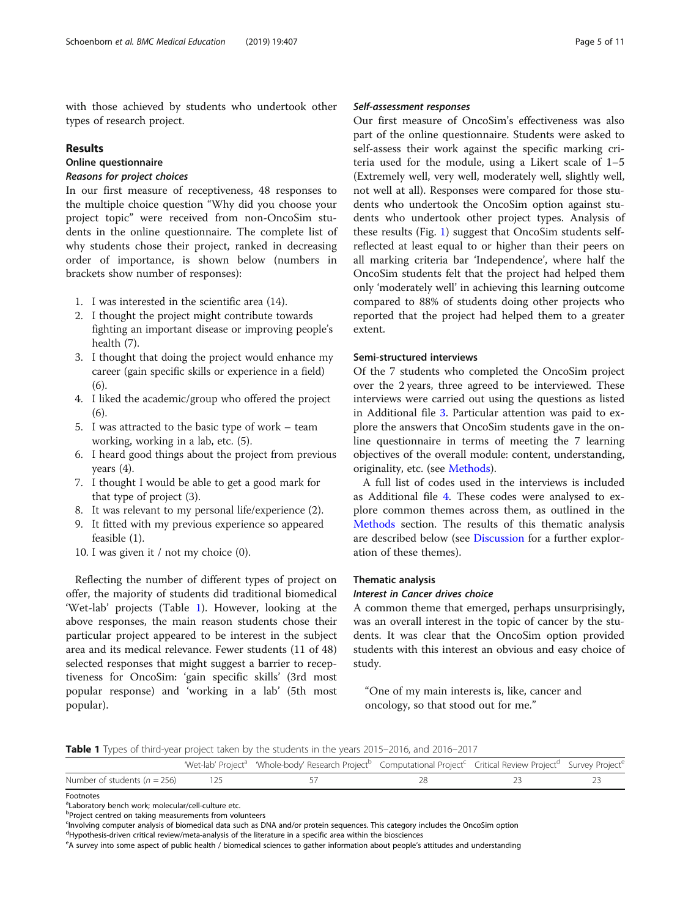<span id="page-4-0"></span>with those achieved by students who undertook other types of research project.

## Results

## Online questionnaire

## Reasons for project choices

In our first measure of receptiveness, 48 responses to the multiple choice question "Why did you choose your project topic" were received from non-OncoSim students in the online questionnaire. The complete list of why students chose their project, ranked in decreasing order of importance, is shown below (numbers in brackets show number of responses):

- 1. I was interested in the scientific area (14).
- 2. I thought the project might contribute towards fighting an important disease or improving people's health (7).
- 3. I thought that doing the project would enhance my career (gain specific skills or experience in a field) (6).
- 4. I liked the academic/group who offered the project (6).
- 5. I was attracted to the basic type of work team working, working in a lab, etc. (5).
- 6. I heard good things about the project from previous years (4).
- 7. I thought I would be able to get a good mark for that type of project (3).
- 8. It was relevant to my personal life/experience (2).
- 9. It fitted with my previous experience so appeared feasible (1).
- 10. I was given it / not my choice (0).

Reflecting the number of different types of project on offer, the majority of students did traditional biomedical 'Wet-lab' projects (Table 1). However, looking at the above responses, the main reason students chose their particular project appeared to be interest in the subject area and its medical relevance. Fewer students (11 of 48) selected responses that might suggest a barrier to receptiveness for OncoSim: 'gain specific skills' (3rd most popular response) and 'working in a lab' (5th most popular).

## Self-assessment responses

Our first measure of OncoSim's effectiveness was also part of the online questionnaire. Students were asked to self-assess their work against the specific marking criteria used for the module, using a Likert scale of 1–5 (Extremely well, very well, moderately well, slightly well, not well at all). Responses were compared for those students who undertook the OncoSim option against students who undertook other project types. Analysis of these results (Fig. [1](#page-5-0)) suggest that OncoSim students selfreflected at least equal to or higher than their peers on all marking criteria bar 'Independence', where half the OncoSim students felt that the project had helped them only 'moderately well' in achieving this learning outcome compared to 88% of students doing other projects who reported that the project had helped them to a greater extent.

#### Semi-structured interviews

Of the 7 students who completed the OncoSim project over the 2 years, three agreed to be interviewed. These interviews were carried out using the questions as listed in Additional file [3](#page-9-0). Particular attention was paid to explore the answers that OncoSim students gave in the online questionnaire in terms of meeting the 7 learning objectives of the overall module: content, understanding, originality, etc. (see [Methods\)](#page-2-0).

A full list of codes used in the interviews is included as Additional file [4.](#page-9-0) These codes were analysed to explore common themes across them, as outlined in the [Methods](#page-2-0) section. The results of this thematic analysis are described below (see [Discussion](#page-7-0) for a further exploration of these themes).

#### Thematic analysis

## Interest in Cancer drives choice

A common theme that emerged, perhaps unsurprisingly, was an overall interest in the topic of cancer by the students. It was clear that the OncoSim option provided students with this interest an obvious and easy choice of study.

"One of my main interests is, like, cancer and oncology, so that stood out for me."

|  |  |  |  |  | Table 1 Types of third-year project taken by the students in the years 2015-2016, and 2016-2017 |
|--|--|--|--|--|-------------------------------------------------------------------------------------------------|
|--|--|--|--|--|-------------------------------------------------------------------------------------------------|

|                                  | "Wet-lab' Project <sup>a</sup> "Whole-body' Research Project <sup>b</sup> Computational Project <sup>c</sup> Critical Review Project <sup>a</sup> Survey Project <sup>e</sup> |  |  |
|----------------------------------|-------------------------------------------------------------------------------------------------------------------------------------------------------------------------------|--|--|
| Number of students ( $n = 256$ ) |                                                                                                                                                                               |  |  |

#### Footnotes

<sup>a</sup>Laboratory bench work; molecular/cell-culture etc.

b Project centred on taking measurements from volunteers

c Involving computer analysis of biomedical data such as DNA and/or protein sequences. This category includes the OncoSim option

<sup>&</sup>lt;sup>d</sup>Hypothesis-driven critical review/meta-analysis of the literature in a specific area within the biosciences

e A survey into some aspect of public health / biomedical sciences to gather information about people's attitudes and understanding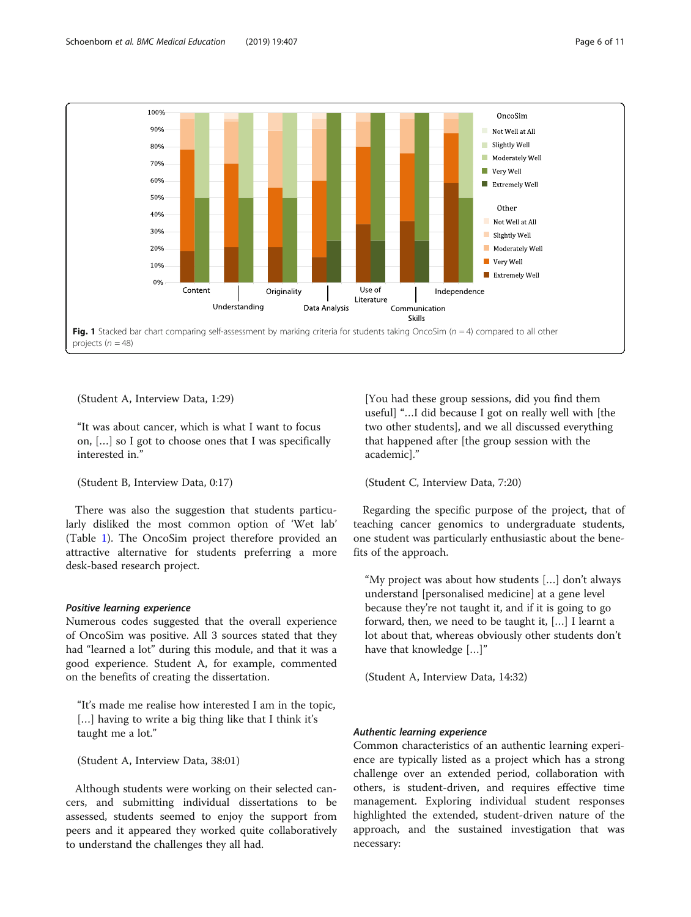<span id="page-5-0"></span>

(Student A, Interview Data, 1:29)

"It was about cancer, which is what I want to focus on, […] so I got to choose ones that I was specifically interested in."

(Student B, Interview Data, 0:17)

There was also the suggestion that students particularly disliked the most common option of 'Wet lab' (Table [1](#page-4-0)). The OncoSim project therefore provided an attractive alternative for students preferring a more desk-based research project.

## Positive learning experience

Numerous codes suggested that the overall experience of OncoSim was positive. All 3 sources stated that they had "learned a lot" during this module, and that it was a good experience. Student A, for example, commented on the benefits of creating the dissertation.

"It's made me realise how interested I am in the topic, [...] having to write a big thing like that I think it's taught me a lot."

(Student A, Interview Data, 38:01)

Although students were working on their selected cancers, and submitting individual dissertations to be assessed, students seemed to enjoy the support from peers and it appeared they worked quite collaboratively to understand the challenges they all had.

[You had these group sessions, did you find them useful] "…I did because I got on really well with [the two other students], and we all discussed everything that happened after [the group session with the academic]."

(Student C, Interview Data, 7:20)

Regarding the specific purpose of the project, that of teaching cancer genomics to undergraduate students, one student was particularly enthusiastic about the benefits of the approach.

"My project was about how students […] don't always understand [personalised medicine] at a gene level because they're not taught it, and if it is going to go forward, then, we need to be taught it, […] I learnt a lot about that, whereas obviously other students don't have that knowledge […]"

(Student A, Interview Data, 14:32)

## Authentic learning experience

Common characteristics of an authentic learning experience are typically listed as a project which has a strong challenge over an extended period, collaboration with others, is student-driven, and requires effective time management. Exploring individual student responses highlighted the extended, student-driven nature of the approach, and the sustained investigation that was necessary: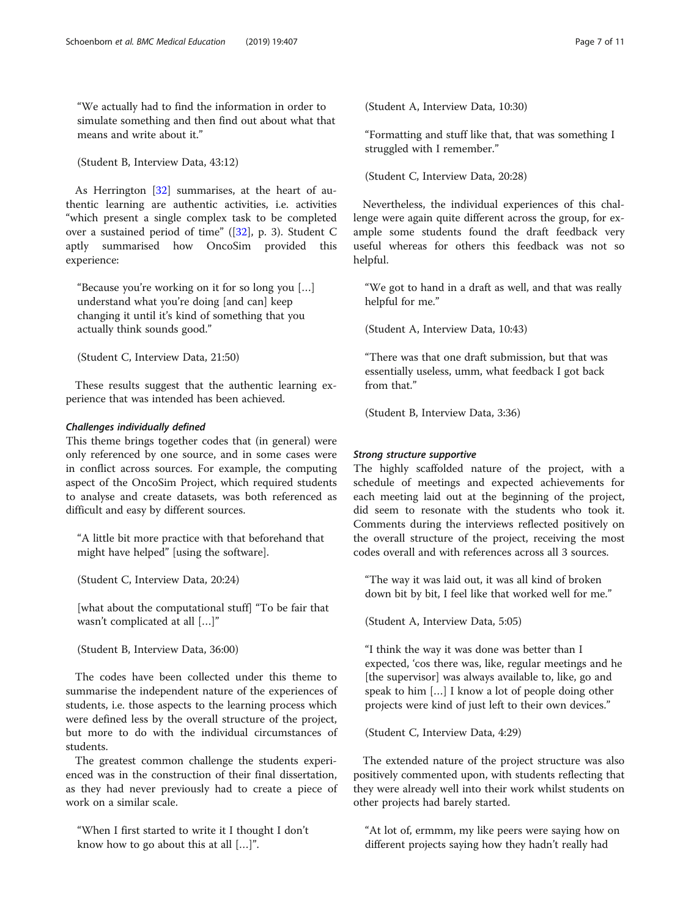"We actually had to find the information in order to simulate something and then find out about what that means and write about it."

(Student B, Interview Data, 43:12)

As Herrington [\[32](#page-10-0)] summarises, at the heart of authentic learning are authentic activities, i.e. activities "which present a single complex task to be completed over a sustained period of time" ([\[32](#page-10-0)], p. 3). Student C aptly summarised how OncoSim provided this experience:

"Because you're working on it for so long you […] understand what you're doing [and can] keep changing it until it's kind of something that you actually think sounds good."

(Student C, Interview Data, 21:50)

These results suggest that the authentic learning experience that was intended has been achieved.

## Challenges individually defined

This theme brings together codes that (in general) were only referenced by one source, and in some cases were in conflict across sources. For example, the computing aspect of the OncoSim Project, which required students to analyse and create datasets, was both referenced as difficult and easy by different sources.

"A little bit more practice with that beforehand that might have helped" [using the software].

(Student C, Interview Data, 20:24)

[what about the computational stuff] "To be fair that wasn't complicated at all […]"

(Student B, Interview Data, 36:00)

The codes have been collected under this theme to summarise the independent nature of the experiences of students, i.e. those aspects to the learning process which were defined less by the overall structure of the project, but more to do with the individual circumstances of students.

The greatest common challenge the students experienced was in the construction of their final dissertation, as they had never previously had to create a piece of work on a similar scale.

"When I first started to write it I thought I don't know how to go about this at all […]".

(Student A, Interview Data, 10:30)

"Formatting and stuff like that, that was something I struggled with I remember."

(Student C, Interview Data, 20:28)

Nevertheless, the individual experiences of this challenge were again quite different across the group, for example some students found the draft feedback very useful whereas for others this feedback was not so helpful.

"We got to hand in a draft as well, and that was really helpful for me."

(Student A, Interview Data, 10:43)

"There was that one draft submission, but that was essentially useless, umm, what feedback I got back from that."

(Student B, Interview Data, 3:36)

## Strong structure supportive

The highly scaffolded nature of the project, with a schedule of meetings and expected achievements for each meeting laid out at the beginning of the project, did seem to resonate with the students who took it. Comments during the interviews reflected positively on the overall structure of the project, receiving the most codes overall and with references across all 3 sources.

"The way it was laid out, it was all kind of broken down bit by bit, I feel like that worked well for me."

(Student A, Interview Data, 5:05)

"I think the way it was done was better than I expected, 'cos there was, like, regular meetings and he [the supervisor] was always available to, like, go and speak to him […] I know a lot of people doing other projects were kind of just left to their own devices."

(Student C, Interview Data, 4:29)

The extended nature of the project structure was also positively commented upon, with students reflecting that they were already well into their work whilst students on other projects had barely started.

"At lot of, ermmm, my like peers were saying how on different projects saying how they hadn't really had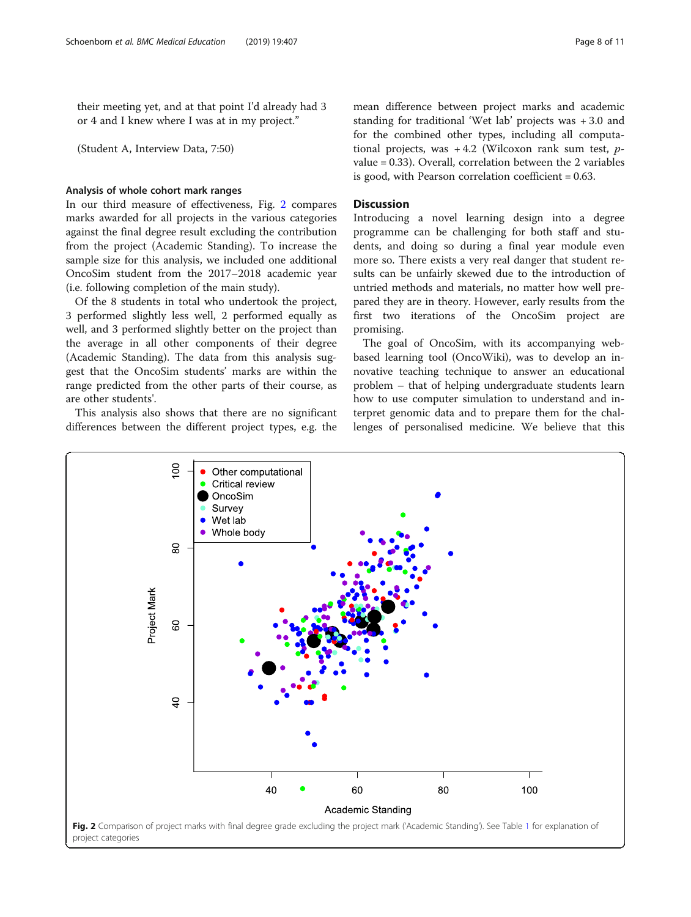<span id="page-7-0"></span>their meeting yet, and at that point I'd already had 3 or 4 and I knew where I was at in my project."

(Student A, Interview Data, 7:50)

## Analysis of whole cohort mark ranges

In our third measure of effectiveness, Fig. 2 compares marks awarded for all projects in the various categories against the final degree result excluding the contribution from the project (Academic Standing). To increase the sample size for this analysis, we included one additional OncoSim student from the 2017–2018 academic year (i.e. following completion of the main study).

Of the 8 students in total who undertook the project, 3 performed slightly less well, 2 performed equally as well, and 3 performed slightly better on the project than the average in all other components of their degree (Academic Standing). The data from this analysis suggest that the OncoSim students' marks are within the range predicted from the other parts of their course, as are other students'.

This analysis also shows that there are no significant differences between the different project types, e.g. the mean difference between project marks and academic standing for traditional 'Wet lab' projects was + 3.0 and for the combined other types, including all computational projects, was  $+4.2$  (Wilcoxon rank sum test, pvalue = 0.33). Overall, correlation between the 2 variables is good, with Pearson correlation coefficient = 0.63.

## **Discussion**

Introducing a novel learning design into a degree programme can be challenging for both staff and students, and doing so during a final year module even more so. There exists a very real danger that student results can be unfairly skewed due to the introduction of untried methods and materials, no matter how well prepared they are in theory. However, early results from the first two iterations of the OncoSim project are promising.

The goal of OncoSim, with its accompanying webbased learning tool (OncoWiki), was to develop an innovative teaching technique to answer an educational problem – that of helping undergraduate students learn how to use computer simulation to understand and interpret genomic data and to prepare them for the challenges of personalised medicine. We believe that this

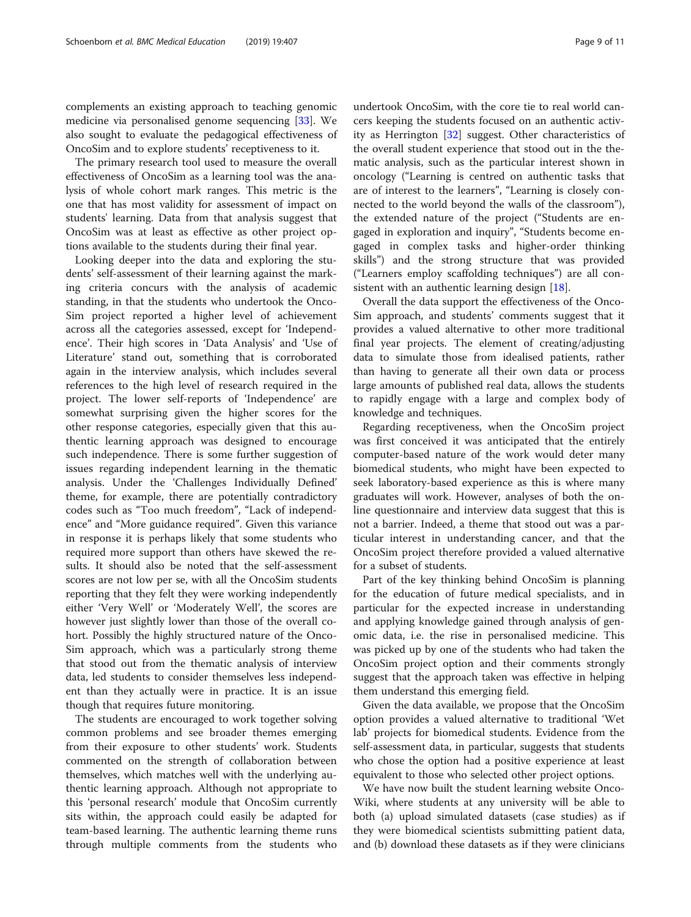complements an existing approach to teaching genomic medicine via personalised genome sequencing [\[33\]](#page-10-0). We also sought to evaluate the pedagogical effectiveness of OncoSim and to explore students' receptiveness to it.

The primary research tool used to measure the overall effectiveness of OncoSim as a learning tool was the analysis of whole cohort mark ranges. This metric is the one that has most validity for assessment of impact on students' learning. Data from that analysis suggest that OncoSim was at least as effective as other project options available to the students during their final year.

Looking deeper into the data and exploring the students' self-assessment of their learning against the marking criteria concurs with the analysis of academic standing, in that the students who undertook the Onco-Sim project reported a higher level of achievement across all the categories assessed, except for 'Independence'. Their high scores in 'Data Analysis' and 'Use of Literature' stand out, something that is corroborated again in the interview analysis, which includes several references to the high level of research required in the project. The lower self-reports of 'Independence' are somewhat surprising given the higher scores for the other response categories, especially given that this authentic learning approach was designed to encourage such independence. There is some further suggestion of issues regarding independent learning in the thematic analysis. Under the 'Challenges Individually Defined' theme, for example, there are potentially contradictory codes such as "Too much freedom", "Lack of independence" and "More guidance required". Given this variance in response it is perhaps likely that some students who required more support than others have skewed the results. It should also be noted that the self-assessment scores are not low per se, with all the OncoSim students reporting that they felt they were working independently either 'Very Well' or 'Moderately Well', the scores are however just slightly lower than those of the overall cohort. Possibly the highly structured nature of the Onco-Sim approach, which was a particularly strong theme that stood out from the thematic analysis of interview data, led students to consider themselves less independent than they actually were in practice. It is an issue though that requires future monitoring.

The students are encouraged to work together solving common problems and see broader themes emerging from their exposure to other students' work. Students commented on the strength of collaboration between themselves, which matches well with the underlying authentic learning approach. Although not appropriate to this 'personal research' module that OncoSim currently sits within, the approach could easily be adapted for team-based learning. The authentic learning theme runs through multiple comments from the students who

undertook OncoSim, with the core tie to real world cancers keeping the students focused on an authentic activity as Herrington [\[32](#page-10-0)] suggest. Other characteristics of the overall student experience that stood out in the thematic analysis, such as the particular interest shown in oncology ("Learning is centred on authentic tasks that are of interest to the learners", "Learning is closely connected to the world beyond the walls of the classroom"), the extended nature of the project ("Students are engaged in exploration and inquiry", "Students become engaged in complex tasks and higher-order thinking skills") and the strong structure that was provided ("Learners employ scaffolding techniques") are all con-sistent with an authentic learning design [[18\]](#page-10-0).

Overall the data support the effectiveness of the Onco-Sim approach, and students' comments suggest that it provides a valued alternative to other more traditional final year projects. The element of creating/adjusting data to simulate those from idealised patients, rather than having to generate all their own data or process large amounts of published real data, allows the students to rapidly engage with a large and complex body of knowledge and techniques.

Regarding receptiveness, when the OncoSim project was first conceived it was anticipated that the entirely computer-based nature of the work would deter many biomedical students, who might have been expected to seek laboratory-based experience as this is where many graduates will work. However, analyses of both the online questionnaire and interview data suggest that this is not a barrier. Indeed, a theme that stood out was a particular interest in understanding cancer, and that the OncoSim project therefore provided a valued alternative for a subset of students.

Part of the key thinking behind OncoSim is planning for the education of future medical specialists, and in particular for the expected increase in understanding and applying knowledge gained through analysis of genomic data, i.e. the rise in personalised medicine. This was picked up by one of the students who had taken the OncoSim project option and their comments strongly suggest that the approach taken was effective in helping them understand this emerging field.

Given the data available, we propose that the OncoSim option provides a valued alternative to traditional 'Wet lab' projects for biomedical students. Evidence from the self-assessment data, in particular, suggests that students who chose the option had a positive experience at least equivalent to those who selected other project options.

We have now built the student learning website Onco-Wiki, where students at any university will be able to both (a) upload simulated datasets (case studies) as if they were biomedical scientists submitting patient data, and (b) download these datasets as if they were clinicians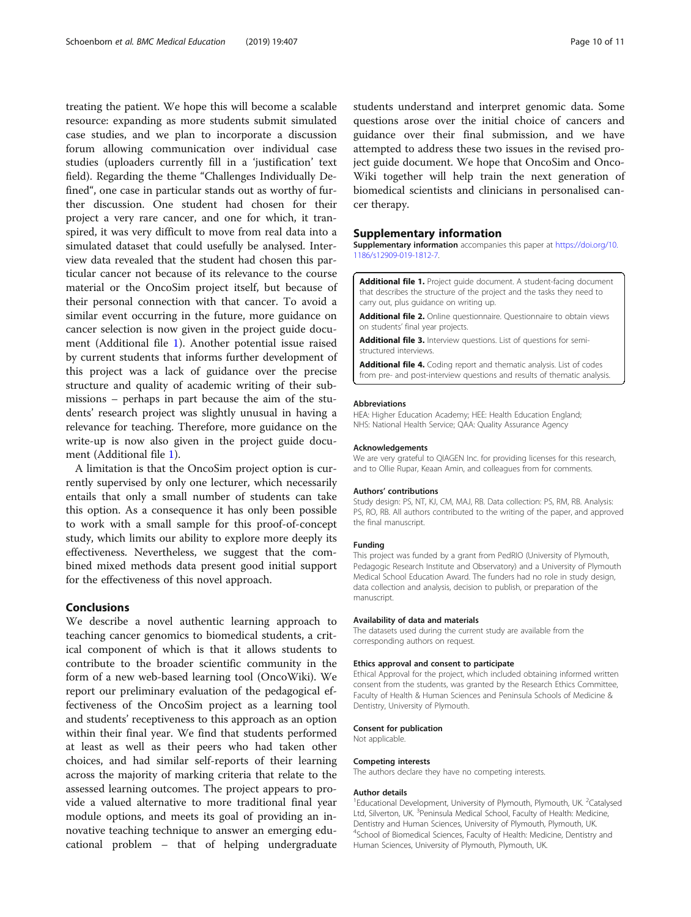<span id="page-9-0"></span>treating the patient. We hope this will become a scalable resource: expanding as more students submit simulated case studies, and we plan to incorporate a discussion forum allowing communication over individual case studies (uploaders currently fill in a 'justification' text field). Regarding the theme "Challenges Individually Defined", one case in particular stands out as worthy of further discussion. One student had chosen for their project a very rare cancer, and one for which, it transpired, it was very difficult to move from real data into a simulated dataset that could usefully be analysed. Interview data revealed that the student had chosen this particular cancer not because of its relevance to the course material or the OncoSim project itself, but because of their personal connection with that cancer. To avoid a similar event occurring in the future, more guidance on cancer selection is now given in the project guide document (Additional file 1). Another potential issue raised by current students that informs further development of this project was a lack of guidance over the precise structure and quality of academic writing of their submissions – perhaps in part because the aim of the students' research project was slightly unusual in having a relevance for teaching. Therefore, more guidance on the write-up is now also given in the project guide document (Additional file 1).

A limitation is that the OncoSim project option is currently supervised by only one lecturer, which necessarily entails that only a small number of students can take this option. As a consequence it has only been possible to work with a small sample for this proof-of-concept study, which limits our ability to explore more deeply its effectiveness. Nevertheless, we suggest that the combined mixed methods data present good initial support for the effectiveness of this novel approach.

#### Conclusions

We describe a novel authentic learning approach to teaching cancer genomics to biomedical students, a critical component of which is that it allows students to contribute to the broader scientific community in the form of a new web-based learning tool (OncoWiki). We report our preliminary evaluation of the pedagogical effectiveness of the OncoSim project as a learning tool and students' receptiveness to this approach as an option within their final year. We find that students performed at least as well as their peers who had taken other choices, and had similar self-reports of their learning across the majority of marking criteria that relate to the assessed learning outcomes. The project appears to provide a valued alternative to more traditional final year module options, and meets its goal of providing an innovative teaching technique to answer an emerging educational problem – that of helping undergraduate

students understand and interpret genomic data. Some questions arose over the initial choice of cancers and guidance over their final submission, and we have attempted to address these two issues in the revised project guide document. We hope that OncoSim and Onco-Wiki together will help train the next generation of biomedical scientists and clinicians in personalised cancer therapy.

## Supplementary information

Supplementary information accompanies this paper at [https://doi.org/10.](https://doi.org/10.1186/s12909-019-1812-7) [1186/s12909-019-1812-7.](https://doi.org/10.1186/s12909-019-1812-7)

Additional file 1. Project quide document. A student-facing document that describes the structure of the project and the tasks they need to carry out, plus guidance on writing up.

Additional file 2. Online questionnaire. Questionnaire to obtain views on students' final year projects.

Additional file 3. Interview questions. List of questions for semistructured interviews.

Additional file 4. Coding report and thematic analysis. List of codes from pre- and post-interview questions and results of thematic analysis.

#### Abbreviations

HEA: Higher Education Academy; HEE: Health Education England; NHS: National Health Service; QAA: Quality Assurance Agency

#### Acknowledgements

We are very grateful to QIAGEN Inc. for providing licenses for this research, and to Ollie Rupar, Keaan Amin, and colleagues from for comments.

#### Authors' contributions

Study design: PS, NT, KJ, CM, MAJ, RB. Data collection: PS, RM, RB. Analysis: PS, RO, RB. All authors contributed to the writing of the paper, and approved the final manuscript.

#### Funding

This project was funded by a grant from PedRIO (University of Plymouth, Pedagogic Research Institute and Observatory) and a University of Plymouth Medical School Education Award. The funders had no role in study design, data collection and analysis, decision to publish, or preparation of the manuscript.

#### Availability of data and materials

The datasets used during the current study are available from the corresponding authors on request.

#### Ethics approval and consent to participate

Ethical Approval for the project, which included obtaining informed written consent from the students, was granted by the Research Ethics Committee, Faculty of Health & Human Sciences and Peninsula Schools of Medicine & Dentistry, University of Plymouth.

#### Consent for publication

Not applicable.

#### Competing interests

The authors declare they have no competing interests.

#### Author details

<sup>1</sup>Educational Development, University of Plymouth, Plymouth, UK. <sup>2</sup>Catalysed Ltd, Silverton, UK. <sup>3</sup>Peninsula Medical School, Faculty of Health: Medicine Dentistry and Human Sciences, University of Plymouth, Plymouth, UK. 4 School of Biomedical Sciences, Faculty of Health: Medicine, Dentistry and Human Sciences, University of Plymouth, Plymouth, UK.